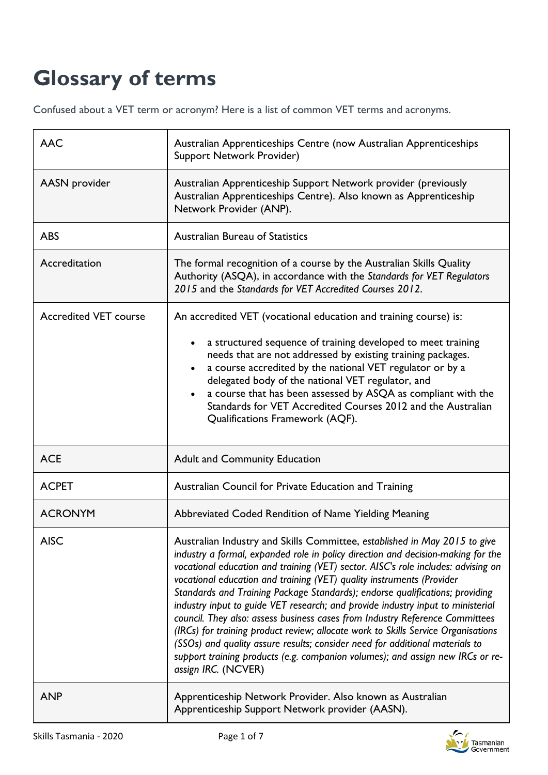## **Glossary of terms**

Confused about a VET term or acronym? Here is a list of common VET terms and acronyms.

| <b>AAC</b>                   | Australian Apprenticeships Centre (now Australian Apprenticeships<br>Support Network Provider)                                                                                                                                                                                                                                                                                                                                                                                                                                                                                                                                                                                                                                                                                                                                                               |
|------------------------------|--------------------------------------------------------------------------------------------------------------------------------------------------------------------------------------------------------------------------------------------------------------------------------------------------------------------------------------------------------------------------------------------------------------------------------------------------------------------------------------------------------------------------------------------------------------------------------------------------------------------------------------------------------------------------------------------------------------------------------------------------------------------------------------------------------------------------------------------------------------|
| AASN provider                | Australian Apprenticeship Support Network provider (previously<br>Australian Apprenticeships Centre). Also known as Apprenticeship<br>Network Provider (ANP).                                                                                                                                                                                                                                                                                                                                                                                                                                                                                                                                                                                                                                                                                                |
| <b>ABS</b>                   | <b>Australian Bureau of Statistics</b>                                                                                                                                                                                                                                                                                                                                                                                                                                                                                                                                                                                                                                                                                                                                                                                                                       |
| Accreditation                | The formal recognition of a course by the Australian Skills Quality<br>Authority (ASQA), in accordance with the Standards for VET Regulators<br>2015 and the Standards for VET Accredited Courses 2012.                                                                                                                                                                                                                                                                                                                                                                                                                                                                                                                                                                                                                                                      |
| <b>Accredited VET course</b> | An accredited VET (vocational education and training course) is:<br>a structured sequence of training developed to meet training<br>needs that are not addressed by existing training packages.<br>a course accredited by the national VET regulator or by a<br>delegated body of the national VET regulator, and<br>a course that has been assessed by ASQA as compliant with the<br>Standards for VET Accredited Courses 2012 and the Australian<br>Qualifications Framework (AQF).                                                                                                                                                                                                                                                                                                                                                                        |
| <b>ACE</b>                   | <b>Adult and Community Education</b>                                                                                                                                                                                                                                                                                                                                                                                                                                                                                                                                                                                                                                                                                                                                                                                                                         |
| <b>ACPET</b>                 | Australian Council for Private Education and Training                                                                                                                                                                                                                                                                                                                                                                                                                                                                                                                                                                                                                                                                                                                                                                                                        |
| <b>ACRONYM</b>               | Abbreviated Coded Rendition of Name Yielding Meaning                                                                                                                                                                                                                                                                                                                                                                                                                                                                                                                                                                                                                                                                                                                                                                                                         |
| <b>AISC</b>                  | Australian Industry and Skills Committee, established in May 2015 to give<br>industry a formal, expanded role in policy direction and decision-making for the<br>vocational education and training (VET) sector. AISC's role includes: advising on<br>vocational education and training (VET) quality instruments (Provider<br>Standards and Training Package Standards); endorse qualifications; providing<br>industry input to guide VET research; and provide industry input to ministerial<br>council. They also: assess business cases from Industry Reference Committees<br>(IRCs) for training product review; allocate work to Skills Service Organisations<br>(SSOs) and quality assure results; consider need for additional materials to<br>support training products (e.g. companion volumes); and assign new IRCs or re-<br>assign IRC. (NCVER) |
| <b>ANP</b>                   | Apprenticeship Network Provider. Also known as Australian<br>Apprenticeship Support Network provider (AASN).                                                                                                                                                                                                                                                                                                                                                                                                                                                                                                                                                                                                                                                                                                                                                 |

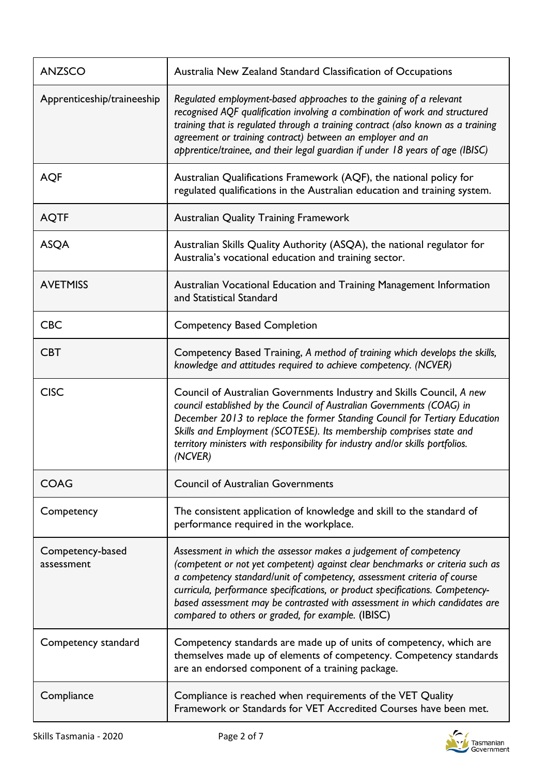| <b>ANZSCO</b>                  | Australia New Zealand Standard Classification of Occupations                                                                                                                                                                                                                                                                                                                                                                                      |
|--------------------------------|---------------------------------------------------------------------------------------------------------------------------------------------------------------------------------------------------------------------------------------------------------------------------------------------------------------------------------------------------------------------------------------------------------------------------------------------------|
| Apprenticeship/traineeship     | Regulated employment-based approaches to the gaining of a relevant<br>recognised AQF qualification involving a combination of work and structured<br>training that is regulated through a training contract (also known as a training<br>agreement or training contract) between an employer and an<br>apprentice/trainee, and their legal guardian if under 18 years of age (IBISC)                                                              |
| <b>AQF</b>                     | Australian Qualifications Framework (AQF), the national policy for<br>regulated qualifications in the Australian education and training system.                                                                                                                                                                                                                                                                                                   |
| <b>AQTF</b>                    | <b>Australian Quality Training Framework</b>                                                                                                                                                                                                                                                                                                                                                                                                      |
| <b>ASQA</b>                    | Australian Skills Quality Authority (ASQA), the national regulator for<br>Australia's vocational education and training sector.                                                                                                                                                                                                                                                                                                                   |
| <b>AVETMISS</b>                | Australian Vocational Education and Training Management Information<br>and Statistical Standard                                                                                                                                                                                                                                                                                                                                                   |
| <b>CBC</b>                     | <b>Competency Based Completion</b>                                                                                                                                                                                                                                                                                                                                                                                                                |
| <b>CBT</b>                     | Competency Based Training, A method of training which develops the skills,<br>knowledge and attitudes required to achieve competency. (NCVER)                                                                                                                                                                                                                                                                                                     |
| <b>CISC</b>                    | Council of Australian Governments Industry and Skills Council, A new<br>council established by the Council of Australian Governments (COAG) in<br>December 2013 to replace the former Standing Council for Tertiary Education<br>Skills and Employment (SCOTESE). Its membership comprises state and<br>territory ministers with responsibility for industry and/or skills portfolios.<br>(NCVER)                                                 |
| <b>COAG</b>                    | <b>Council of Australian Governments</b>                                                                                                                                                                                                                                                                                                                                                                                                          |
| Competency                     | The consistent application of knowledge and skill to the standard of<br>performance required in the workplace.                                                                                                                                                                                                                                                                                                                                    |
| Competency-based<br>assessment | Assessment in which the assessor makes a judgement of competency<br>(competent or not yet competent) against clear benchmarks or criteria such as<br>a competency standard/unit of competency, assessment criteria of course<br>curricula, performance specifications, or product specifications. Competency-<br>based assessment may be contrasted with assessment in which candidates are<br>compared to others or graded, for example. (IBISC) |
| Competency standard            | Competency standards are made up of units of competency, which are<br>themselves made up of elements of competency. Competency standards<br>are an endorsed component of a training package.                                                                                                                                                                                                                                                      |
| Compliance                     | Compliance is reached when requirements of the VET Quality<br>Framework or Standards for VET Accredited Courses have been met.                                                                                                                                                                                                                                                                                                                    |

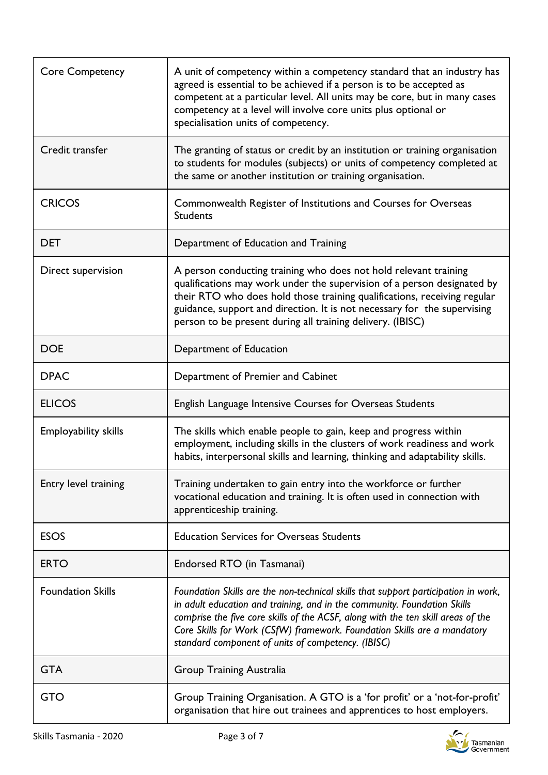| <b>Core Competency</b>      | A unit of competency within a competency standard that an industry has<br>agreed is essential to be achieved if a person is to be accepted as<br>competent at a particular level. All units may be core, but in many cases<br>competency at a level will involve core units plus optional or<br>specialisation units of competency.                                                  |
|-----------------------------|--------------------------------------------------------------------------------------------------------------------------------------------------------------------------------------------------------------------------------------------------------------------------------------------------------------------------------------------------------------------------------------|
| Credit transfer             | The granting of status or credit by an institution or training organisation<br>to students for modules (subjects) or units of competency completed at<br>the same or another institution or training organisation.                                                                                                                                                                   |
| <b>CRICOS</b>               | Commonwealth Register of Institutions and Courses for Overseas<br><b>Students</b>                                                                                                                                                                                                                                                                                                    |
| <b>DET</b>                  | Department of Education and Training                                                                                                                                                                                                                                                                                                                                                 |
| Direct supervision          | A person conducting training who does not hold relevant training<br>qualifications may work under the supervision of a person designated by<br>their RTO who does hold those training qualifications, receiving regular<br>guidance, support and direction. It is not necessary for the supervising<br>person to be present during all training delivery. (IBISC)                    |
| <b>DOE</b>                  | Department of Education                                                                                                                                                                                                                                                                                                                                                              |
| <b>DPAC</b>                 | Department of Premier and Cabinet                                                                                                                                                                                                                                                                                                                                                    |
| <b>ELICOS</b>               | English Language Intensive Courses for Overseas Students                                                                                                                                                                                                                                                                                                                             |
| <b>Employability skills</b> | The skills which enable people to gain, keep and progress within<br>employment, including skills in the clusters of work readiness and work<br>habits, interpersonal skills and learning, thinking and adaptability skills.                                                                                                                                                          |
| Entry level training        | Training undertaken to gain entry into the workforce or further<br>vocational education and training. It is often used in connection with<br>apprenticeship training.                                                                                                                                                                                                                |
| <b>ESOS</b>                 | <b>Education Services for Overseas Students</b>                                                                                                                                                                                                                                                                                                                                      |
| <b>ERTO</b>                 | Endorsed RTO (in Tasmanai)                                                                                                                                                                                                                                                                                                                                                           |
| <b>Foundation Skills</b>    | Foundation Skills are the non-technical skills that support participation in work,<br>in adult education and training, and in the community. Foundation Skills<br>comprise the five core skills of the ACSF, along with the ten skill areas of the<br>Core Skills for Work (CSfW) framework. Foundation Skills are a mandatory<br>standard component of units of competency. (IBISC) |
| <b>GTA</b>                  | <b>Group Training Australia</b>                                                                                                                                                                                                                                                                                                                                                      |
| <b>GTO</b>                  | Group Training Organisation. A GTO is a 'for profit' or a 'not-for-profit'<br>organisation that hire out trainees and apprentices to host employers.                                                                                                                                                                                                                                 |

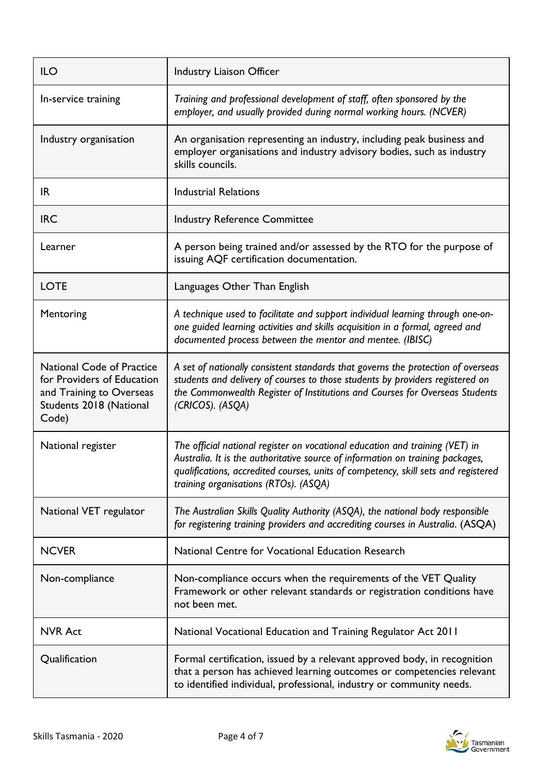| <b>ILO</b>                                                                                                                     | Industry Liaison Officer                                                                                                                                                                                                                                                                      |
|--------------------------------------------------------------------------------------------------------------------------------|-----------------------------------------------------------------------------------------------------------------------------------------------------------------------------------------------------------------------------------------------------------------------------------------------|
| In-service training                                                                                                            | Training and professional development of staff, often sponsored by the<br>employer, and usually provided during normal working hours. (NCVER)                                                                                                                                                 |
| Industry organisation                                                                                                          | An organisation representing an industry, including peak business and<br>employer organisations and industry advisory bodies, such as industry<br>skills councils.                                                                                                                            |
| IR.                                                                                                                            | <b>Industrial Relations</b>                                                                                                                                                                                                                                                                   |
| <b>IRC</b>                                                                                                                     | <b>Industry Reference Committee</b>                                                                                                                                                                                                                                                           |
| Learner                                                                                                                        | A person being trained and/or assessed by the RTO for the purpose of<br>issuing AQF certification documentation.                                                                                                                                                                              |
| <b>LOTE</b>                                                                                                                    | Languages Other Than English                                                                                                                                                                                                                                                                  |
| Mentoring                                                                                                                      | A technique used to facilitate and support individual learning through one-on-<br>one guided learning activities and skills acquisition in a formal, agreed and<br>documented process between the mentor and mentee. (IBISC)                                                                  |
| <b>National Code of Practice</b><br>for Providers of Education<br>and Training to Overseas<br>Students 2018 (National<br>Code) | A set of nationally consistent standards that governs the protection of overseas<br>students and delivery of courses to those students by providers registered on<br>the Commonwealth Register of Institutions and Courses for Overseas Students<br>(CRICOS). (ASQA)                          |
| National register                                                                                                              | The official national register on vocational education and training (VET) in<br>Australia. It is the authoritative source of information on training packages,<br>qualifications, accredited courses, units of competency, skill sets and registered<br>training organisations (RTOs). (ASQA) |
| National VET regulator                                                                                                         | The Australian Skills Quality Authority (ASQA), the national body responsible<br>for registering training providers and accrediting courses in Australia. (ASQA)                                                                                                                              |
| <b>NCVER</b>                                                                                                                   | National Centre for Vocational Education Research                                                                                                                                                                                                                                             |
| Non-compliance                                                                                                                 | Non-compliance occurs when the requirements of the VET Quality<br>Framework or other relevant standards or registration conditions have<br>not been met.                                                                                                                                      |
| <b>NVR Act</b>                                                                                                                 | National Vocational Education and Training Regulator Act 2011                                                                                                                                                                                                                                 |
| Qualification                                                                                                                  | Formal certification, issued by a relevant approved body, in recognition<br>that a person has achieved learning outcomes or competencies relevant<br>to identified individual, professional, industry or community needs.                                                                     |



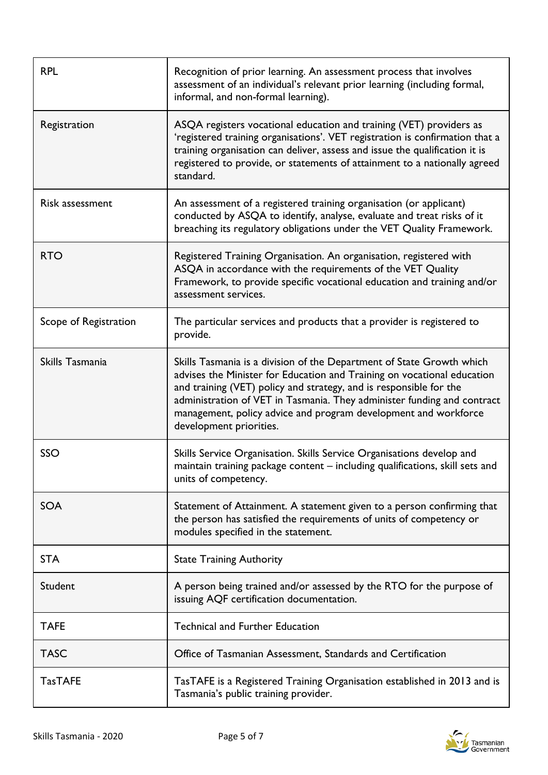| <b>RPL</b>            | Recognition of prior learning. An assessment process that involves<br>assessment of an individual's relevant prior learning (including formal,<br>informal, and non-formal learning).                                                                                                                                                                                                           |
|-----------------------|-------------------------------------------------------------------------------------------------------------------------------------------------------------------------------------------------------------------------------------------------------------------------------------------------------------------------------------------------------------------------------------------------|
| Registration          | ASQA registers vocational education and training (VET) providers as<br>'registered training organisations'. VET registration is confirmation that a<br>training organisation can deliver, assess and issue the qualification it is<br>registered to provide, or statements of attainment to a nationally agreed<br>standard.                                                                    |
| Risk assessment       | An assessment of a registered training organisation (or applicant)<br>conducted by ASQA to identify, analyse, evaluate and treat risks of it<br>breaching its regulatory obligations under the VET Quality Framework.                                                                                                                                                                           |
| <b>RTO</b>            | Registered Training Organisation. An organisation, registered with<br>ASQA in accordance with the requirements of the VET Quality<br>Framework, to provide specific vocational education and training and/or<br>assessment services.                                                                                                                                                            |
| Scope of Registration | The particular services and products that a provider is registered to<br>provide.                                                                                                                                                                                                                                                                                                               |
| Skills Tasmania       | Skills Tasmania is a division of the Department of State Growth which<br>advises the Minister for Education and Training on vocational education<br>and training (VET) policy and strategy, and is responsible for the<br>administration of VET in Tasmania. They administer funding and contract<br>management, policy advice and program development and workforce<br>development priorities. |
| SSO                   | Skills Service Organisation. Skills Service Organisations develop and<br>maintain training package content - including qualifications, skill sets and<br>units of competency.                                                                                                                                                                                                                   |
| <b>SOA</b>            | Statement of Attainment. A statement given to a person confirming that<br>the person has satisfied the requirements of units of competency or<br>modules specified in the statement.                                                                                                                                                                                                            |
| <b>STA</b>            | <b>State Training Authority</b>                                                                                                                                                                                                                                                                                                                                                                 |
| Student               | A person being trained and/or assessed by the RTO for the purpose of<br>issuing AQF certification documentation.                                                                                                                                                                                                                                                                                |
| <b>TAFE</b>           | <b>Technical and Further Education</b>                                                                                                                                                                                                                                                                                                                                                          |
| <b>TASC</b>           | Office of Tasmanian Assessment, Standards and Certification                                                                                                                                                                                                                                                                                                                                     |
| <b>TasTAFE</b>        | TasTAFE is a Registered Training Organisation established in 2013 and is<br>Tasmania's public training provider.                                                                                                                                                                                                                                                                                |



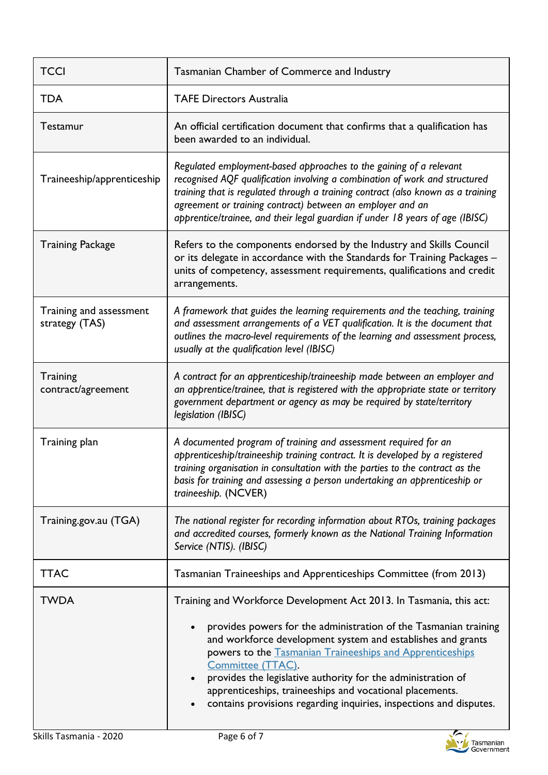| <b>TCCI</b>                               | Tasmanian Chamber of Commerce and Industry                                                                                                                                                                                                                                                                                                                                                                                                                                                |
|-------------------------------------------|-------------------------------------------------------------------------------------------------------------------------------------------------------------------------------------------------------------------------------------------------------------------------------------------------------------------------------------------------------------------------------------------------------------------------------------------------------------------------------------------|
| <b>TDA</b>                                | <b>TAFE Directors Australia</b>                                                                                                                                                                                                                                                                                                                                                                                                                                                           |
| Testamur                                  | An official certification document that confirms that a qualification has<br>been awarded to an individual.                                                                                                                                                                                                                                                                                                                                                                               |
| Traineeship/apprenticeship                | Regulated employment-based approaches to the gaining of a relevant<br>recognised AQF qualification involving a combination of work and structured<br>training that is regulated through a training contract (also known as a training<br>agreement or training contract) between an employer and an<br>apprentice/trainee, and their legal guardian if under 18 years of age (IBISC)                                                                                                      |
| <b>Training Package</b>                   | Refers to the components endorsed by the Industry and Skills Council<br>or its delegate in accordance with the Standards for Training Packages -<br>units of competency, assessment requirements, qualifications and credit<br>arrangements.                                                                                                                                                                                                                                              |
| Training and assessment<br>strategy (TAS) | A framework that guides the learning requirements and the teaching, training<br>and assessment arrangements of a VET qualification. It is the document that<br>outlines the macro-level requirements of the learning and assessment process,<br>usually at the qualification level (IBISC)                                                                                                                                                                                                |
| Training<br>contract/agreement            | A contract for an apprenticeship/traineeship made between an employer and<br>an apprentice/trainee, that is registered with the appropriate state or territory<br>government department or agency as may be required by state/territory<br>legislation (IBISC)                                                                                                                                                                                                                            |
| Training plan                             | A documented program of training and assessment required for an<br>apprenticeship/traineeship training contract. It is developed by a registered<br>training organisation in consultation with the parties to the contract as the<br>basis for training and assessing a person undertaking an apprenticeship or<br>traineeship. (NCVER)                                                                                                                                                   |
| Training.gov.au (TGA)                     | The national register for recording information about RTOs, training packages<br>and accredited courses, formerly known as the National Training Information<br>Service (NTIS). (IBISC)                                                                                                                                                                                                                                                                                                   |
| <b>TTAC</b>                               | Tasmanian Traineeships and Apprenticeships Committee (from 2013)                                                                                                                                                                                                                                                                                                                                                                                                                          |
| <b>TWDA</b>                               | Training and Workforce Development Act 2013. In Tasmania, this act:<br>provides powers for the administration of the Tasmanian training<br>and workforce development system and establishes and grants<br>powers to the Tasmanian Traineeships and Apprenticeships<br>Committee (TTAC).<br>provides the legislative authority for the administration of<br>apprenticeships, traineeships and vocational placements.<br>contains provisions regarding inquiries, inspections and disputes. |